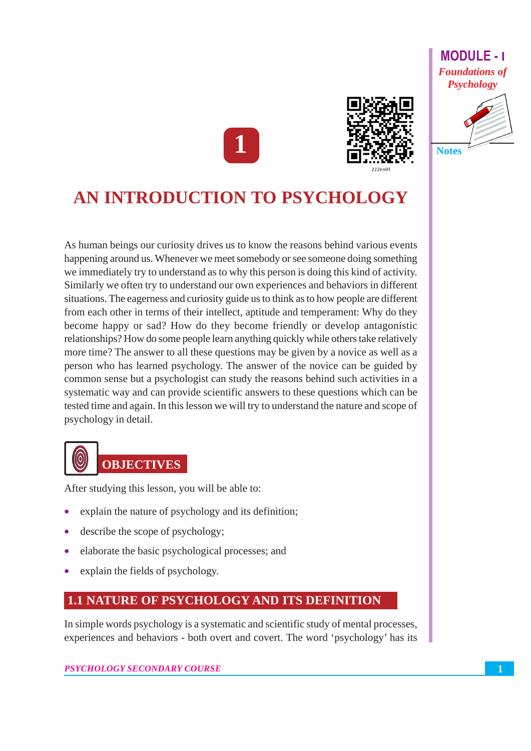## **MODULE-1 Foundations of Psychology**





# AN INTRODUCTION TO PSYCHOLOGY

As human beings our curiosity drives us to know the reasons behind various events happening around us. Whenever we meet somebody or see someone doing something we immediately try to understand as to why this person is doing this kind of activity. Similarly we often try to understand our own experiences and behaviors in different situations. The eagerness and curiosity guide us to think as to how people are different from each other in terms of their intellect, aptitude and temperament: Why do they become happy or sad? How do they become friendly or develop antagonistic relationships? How do some people learn anything quickly while others take relatively more time? The answer to all these questions may be given by a novice as well as a person who has learned psychology. The answer of the novice can be guided by common sense but a psychologist can study the reasons behind such activities in a systematic way and can provide scientific answers to these questions which can be tested time and again. In this lesson we will try to understand the nature and scope of psychology in detail.



After studying this lesson, you will be able to:

- explain the nature of psychology and its definition;
- describe the scope of psychology;
- elaborate the basic psychological processes; and
- explain the fields of psychology.

# **1.1 NATURE OF PSYCHOLOGY AND ITS DEFINITION**

In simple words psychology is a systematic and scientific study of mental processes, experiences and behaviors - both overt and covert. The word 'psychology' has its

#### PSYCHOLOGY SECONDARY COURSE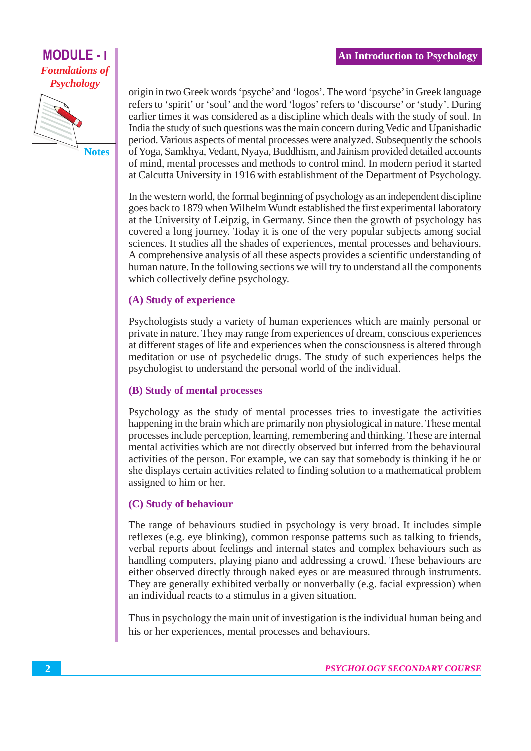#### **An Introduction to Psychology**

# **MODULE - I Foundations of Psychology**



origin in two Greek words 'psyche' and 'logos'. The word 'psyche' in Greek language refers to 'spirit' or 'soul' and the word 'logos' refers to 'discourse' or 'study'. During earlier times it was considered as a discipline which deals with the study of soul. In India the study of such questions was the main concern during Vedic and Upanishadic period. Various aspects of mental processes were analyzed. Subsequently the schools of Yoga, Samkhya, Vedant, Nyaya, Buddhism, and Jainism provided detailed accounts of mind, mental processes and methods to control mind. In modern period it started at Calcutta University in 1916 with establishment of the Department of Psychology.

In the western world, the formal beginning of psychology as an independent discipline goes back to 1879 when Wilhelm Wundt established the first experimental laboratory at the University of Leipzig, in Germany. Since then the growth of psychology has covered a long journey. Today it is one of the very popular subjects among social sciences. It studies all the shades of experiences, mental processes and behaviours. A comprehensive analysis of all these aspects provides a scientific understanding of human nature. In the following sections we will try to understand all the components which collectively define psychology.

#### (A) Study of experience

Psychologists study a variety of human experiences which are mainly personal or private in nature. They may range from experiences of dream, conscious experiences at different stages of life and experiences when the consciousness is altered through meditation or use of psychodelic drugs. The study of such experiences helps the psychologist to understand the personal world of the individual.

### (B) Study of mental processes

Psychology as the study of mental processes tries to investigate the activities happening in the brain which are primarily non physiological in nature. These mental processes include perception, learning, remembering and thinking. These are internal mental activities which are not directly observed but inferred from the behavioural activities of the person. For example, we can say that somebody is thinking if he or she displays certain activities related to finding solution to a mathematical problem assigned to him or her.

### (C) Study of behaviour

The range of behaviours studied in psychology is very broad. It includes simple reflexes (e.g. eye blinking), common response patterns such as talking to friends, verbal reports about feelings and internal states and complex behaviours such as handling computers, playing piano and addressing a crowd. These behaviours are either observed directly through naked eyes or are measured through instruments. They are generally exhibited verbally or nonverbally (e.g. facial expression) when an individual reacts to a stimulus in a given situation.

Thus in psychology the main unit of investigation is the individual human being and his or her experiences, mental processes and behaviours.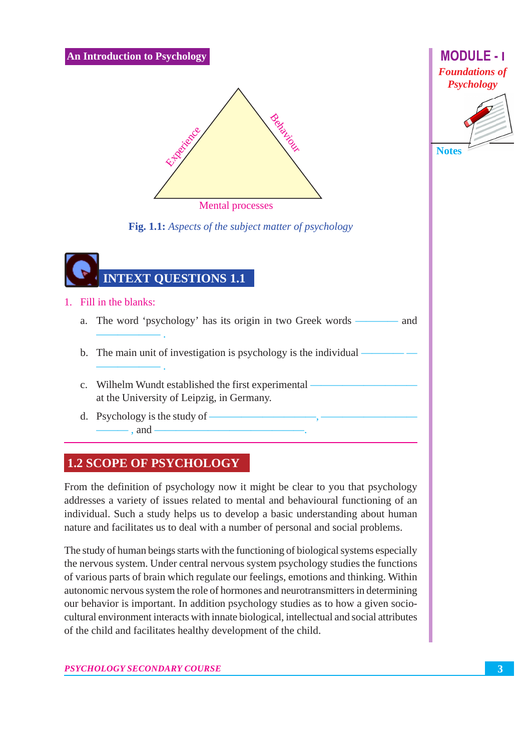**An Introduction to Psychology** 



Fig. 1.1: Aspects of the subject matter of psychology



- 1. Fill in the blanks:
	- a. The word 'psychology' has its origin in two Greek words - and
	- b. The main unit of investigation is psychology is the individual -
	- c. Wilhelm Wundt established the first experimental at the University of Leipzig, in Germany.
	- d. Psychology is the study of  $-$  and  $-$

# **1.2 SCOPE OF PSYCHOLOGY**

From the definition of psychology now it might be clear to you that psychology addresses a variety of issues related to mental and behavioural functioning of an individual. Such a study helps us to develop a basic understanding about human nature and facilitates us to deal with a number of personal and social problems.

The study of human beings starts with the functioning of biological systems especially the nervous system. Under central nervous system psychology studies the functions of various parts of brain which regulate our feelings, emotions and thinking. Within autonomic nervous system the role of hormones and neurotransmitters in determining our behavior is important. In addition psychology studies as to how a given sociocultural environment interacts with innate biological, intellectual and social attributes of the child and facilitates healthy development of the child.

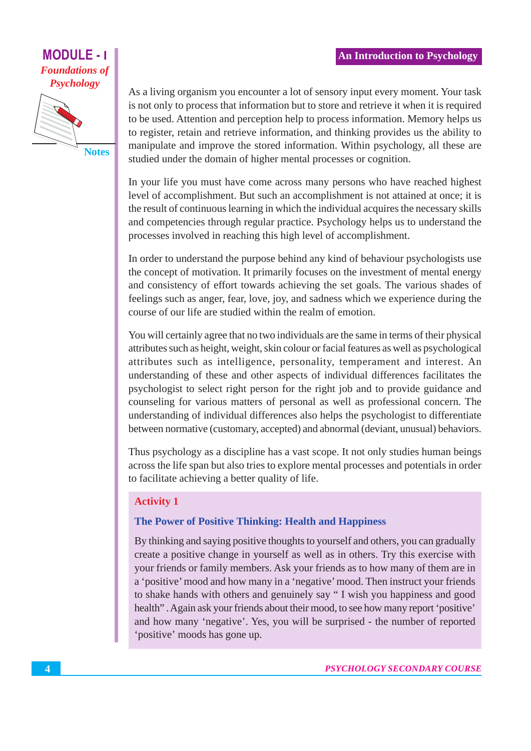# **MODULE - I Foundations of Psychology**



As a living organism you encounter a lot of sensory input every moment. Your task is not only to process that information but to store and retrieve it when it is required to be used. Attention and perception help to process information. Memory helps us to register, retain and retrieve information, and thinking provides us the ability to manipulate and improve the stored information. Within psychology, all these are studied under the domain of higher mental processes or cognition.

In your life you must have come across many persons who have reached highest level of accomplishment. But such an accomplishment is not attained at once; it is the result of continuous learning in which the individual acquires the necessary skills and competencies through regular practice. Psychology helps us to understand the processes involved in reaching this high level of accomplishment.

In order to understand the purpose behind any kind of behaviour psychologists use the concept of motivation. It primarily focuses on the investment of mental energy and consistency of effort towards achieving the set goals. The various shades of feelings such as anger, fear, love, joy, and sadness which we experience during the course of our life are studied within the realm of emotion.

You will certainly agree that no two individuals are the same in terms of their physical attributes such as height, weight, skin colour or facial features as well as psychological attributes such as intelligence, personality, temperament and interest. An understanding of these and other aspects of individual differences facilitates the psychologist to select right person for the right job and to provide guidance and counseling for various matters of personal as well as professional concern. The understanding of individual differences also helps the psychologist to differentiate between normative (customary, accepted) and abnormal (deviant, unusual) behaviors.

Thus psychology as a discipline has a vast scope. It not only studies human beings across the life span but also tries to explore mental processes and potentials in order to facilitate achieving a better quality of life.

### **Activity 1**

### The Power of Positive Thinking: Health and Happiness

By thinking and saying positive thoughts to yourself and others, you can gradually create a positive change in yourself as well as in others. Try this exercise with your friends or family members. Ask your friends as to how many of them are in a 'positive' mood and how many in a 'negative' mood. Then instruct your friends to shake hands with others and genuinely say "I wish you happiness and good health". Again ask your friends about their mood, to see how many report 'positive' and how many 'negative'. Yes, you will be surprised - the number of reported 'positive' moods has gone up.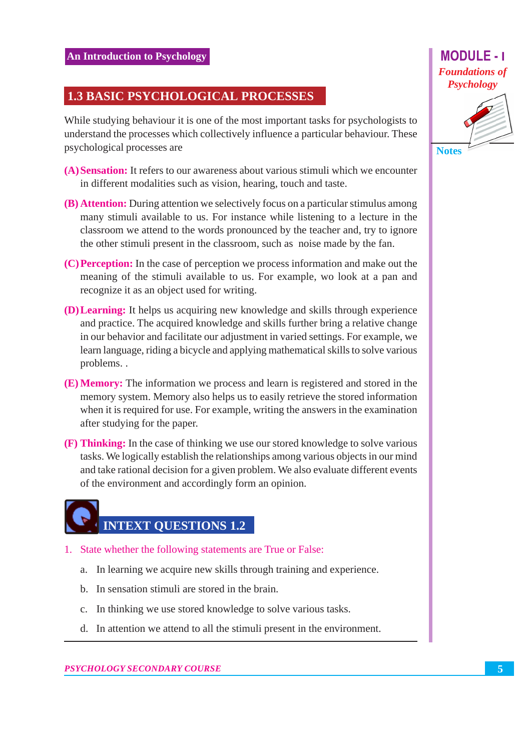# **1.3 BASIC PSYCHOLOGICAL PROCESSES**

While studying behaviour it is one of the most important tasks for psychologists to understand the processes which collectively influence a particular behaviour. These psychological processes are

- (A) Sensation: It refers to our awareness about various stimuli which we encounter in different modalities such as vision, hearing, touch and taste.
- (B) Attention: During attention we selectively focus on a particular stimulus among many stimuli available to us. For instance while listening to a lecture in the classroom we attend to the words pronounced by the teacher and, try to ignore the other stimuli present in the classroom, such as noise made by the fan.
- (C) Perception: In the case of perception we process information and make out the meaning of the stimuli available to us. For example, wo look at a pan and recognize it as an object used for writing.
- **(D) Learning:** It helps us acquiring new knowledge and skills through experience and practice. The acquired knowledge and skills further bring a relative change in our behavior and facilitate our adjustment in varied settings. For example, we learn language, riding a bicycle and applying mathematical skills to solve various problems..
- (E) Memory: The information we process and learn is registered and stored in the memory system. Memory also helps us to easily retrieve the stored information when it is required for use. For example, writing the answers in the examination after studying for the paper.
- (F) Thinking: In the case of thinking we use our stored knowledge to solve various tasks. We logically establish the relationships among various objects in our mind and take rational decision for a given problem. We also evaluate different events of the environment and accordingly form an opinion.

# **INTEXT QUESTIONS 1.2**

- 1. State whether the following statements are True or False:
	- a. In learning we acquire new skills through training and experience.
	- b. In sensation stimuli are stored in the brain.
	- c. In thinking we use stored knowledge to solve various tasks.
	- d. In attention we attend to all the stimuli present in the environment.

**Notes**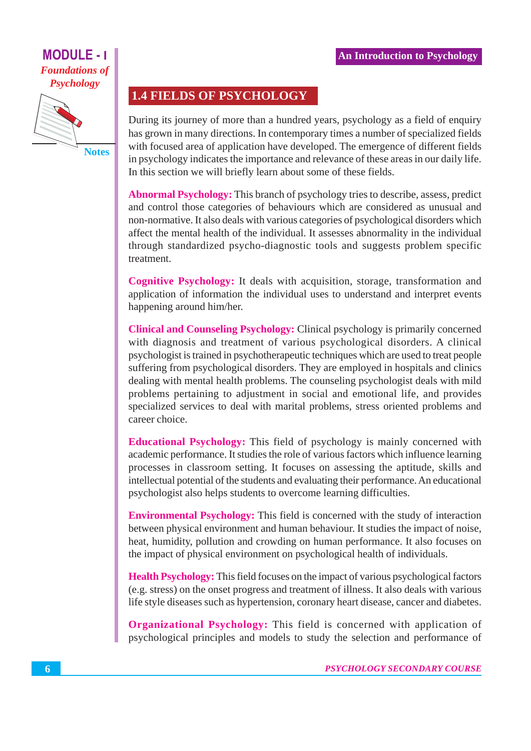# **MODULE - I Foundations of Psychology**



**Notes** 

# **1.4 FIELDS OF PSYCHOLOGY**

During its journey of more than a hundred years, psychology as a field of enquiry has grown in many directions. In contemporary times a number of specialized fields with focused area of application have developed. The emergence of different fields in psychology indicates the importance and relevance of these areas in our daily life. In this section we will briefly learn about some of these fields.

**Abnormal Psychology:** This branch of psychology tries to describe, assess, predict and control those categories of behaviours which are considered as unusual and non-normative. It also deals with various categories of psychological disorders which affect the mental health of the individual. It assesses abnormality in the individual through standardized psycho-diagnostic tools and suggests problem specific treatment.

**Cognitive Psychology:** It deals with acquisition, storage, transformation and application of information the individual uses to understand and interpret events happening around him/her.

**Clinical and Counseling Psychology:** Clinical psychology is primarily concerned with diagnosis and treatment of various psychological disorders. A clinical psychologist is trained in psychotherapeutic techniques which are used to treat people suffering from psychological disorders. They are employed in hospitals and clinics dealing with mental health problems. The counseling psychologist deals with mild problems pertaining to adjustment in social and emotional life, and provides specialized services to deal with marital problems, stress oriented problems and career choice.

**Educational Psychology:** This field of psychology is mainly concerned with academic performance. It studies the role of various factors which influence learning processes in classroom setting. It focuses on assessing the aptitude, skills and intellectual potential of the students and evaluating their performance. An educational psychologist also helps students to overcome learning difficulties.

**Environmental Psychology:** This field is concerned with the study of interaction between physical environment and human behaviour. It studies the impact of noise, heat, humidity, pollution and crowding on human performance. It also focuses on the impact of physical environment on psychological health of individuals.

**Health Psychology:** This field focuses on the impact of various psychological factors (e.g. stress) on the onset progress and treatment of illness. It also deals with various life style diseases such as hypertension, coronary heart disease, cancer and diabetes.

**Organizational Psychology:** This field is concerned with application of psychological principles and models to study the selection and performance of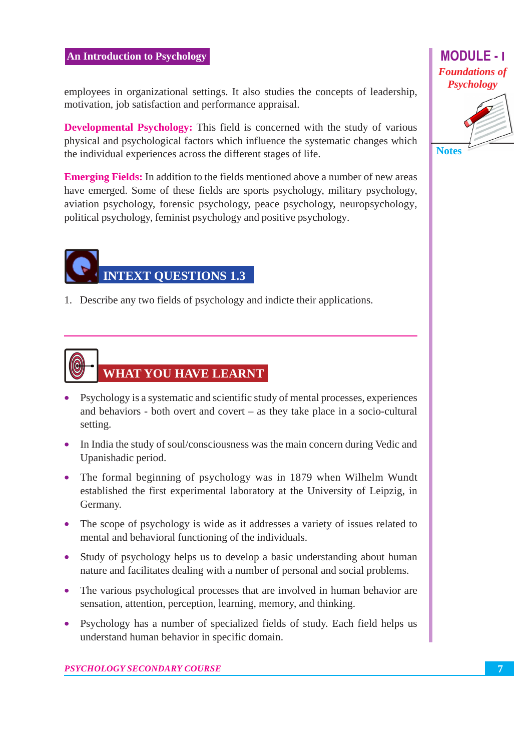#### **An Introduction to Psychology**

employees in organizational settings. It also studies the concepts of leadership, motivation, job satisfaction and performance appraisal.

**Developmental Psychology:** This field is concerned with the study of various physical and psychological factors which influence the systematic changes which the individual experiences across the different stages of life.

**Emerging Fields:** In addition to the fields mentioned above a number of new areas have emerged. Some of these fields are sports psychology, military psychology, aviation psychology, forensic psychology, peace psychology, neuropsychology, political psychology, feminist psychology and positive psychology.



1. Describe any two fields of psychology and indicte their applications.



- Psychology is a systematic and scientific study of mental processes, experiences and behaviors - both overt and covert  $-$  as they take place in a socio-cultural setting.
- In India the study of soul/consciousness was the main concern during Vedic and Upanishadic period.
- The formal beginning of psychology was in 1879 when Wilhelm Wundt established the first experimental laboratory at the University of Leipzig, in Germany.
- The scope of psychology is wide as it addresses a variety of issues related to mental and behavioral functioning of the individuals.
- Study of psychology helps us to develop a basic understanding about human nature and facilitates dealing with a number of personal and social problems.
- The various psychological processes that are involved in human behavior are sensation, attention, perception, learning, memory, and thinking.
- Psychology has a number of specialized fields of study. Each field helps us understand human behavior in specific domain.

**Notes** 

**MODULE-1 Foundations of Psychology**